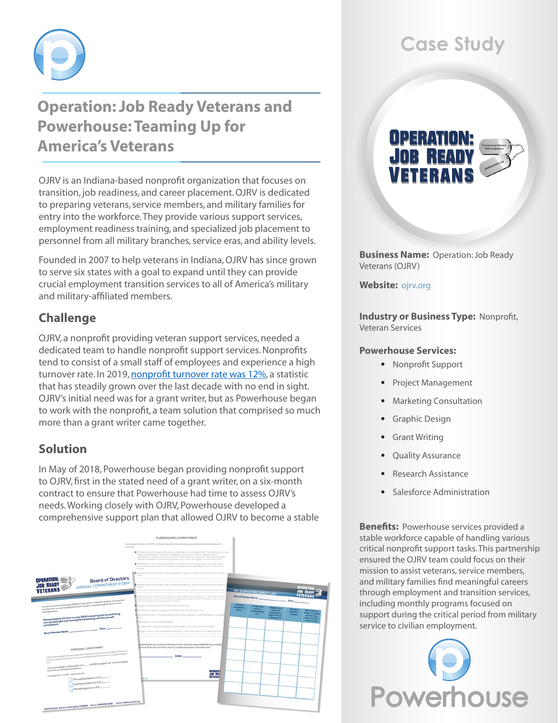

## **Operation: Job Ready Veterans and Powerhouse: Teaming Up for America's Veterans**

OJRV is an Indiana-based nonprofit organization that focuses on transition, job readiness, and career placement. OJRV is dedicated to preparing veterans, service members, and military families for entry into the workforce. They provide various support services, employment readiness training, and specialized job placement to personnel from all military branches, service eras, and ability levels.

Founded in 2007 to help veterans in Indiana, OJRV has since grown to serve six states with a goal to expand until they can provide crucial employment transition services to all of America's military and military-affiliated members.

## **Challenge**

OJRV, a nonprofit providing veteran support services, needed a dedicated team to handle nonprofit support services. Nonprofits tend to consist of a small staff of employees and experience a high turnover rate. In 2019, [nonprofit turnover rate was 12%,](https://www.thenonprofittimes.com/hr/good-economy-allowing-pay-benefits-to-improve/#:~:text=Employee turnover averaged more than,rebounded from the Great Recession.) a statistic that has steadily grown over the last decade with no end in sight. OJRV's initial need was for a grant writer, but as Powerhouse began to work with the nonprofit, a team solution that comprised so much more than a grant writer came together.

### **Solution**

In May of 2018, Powerhouse began providing nonprofit support to OJRV, first in the stated need of a grant writer, on a six-month contract to ensure that Powerhouse had time to assess OJRV's needs. Working closely with OJRV, Powerhouse developed a comprehensive support plan that allowed OJRV to become a stable



# **Case Study**

# **UPER**

**Business Name:** Operation: Job Ready Veterans (OJRV)

**Website:** [ojrv.org](https://ojrv.org/)

**Industry or Business Type:** Nonprofit, Veteran Services

#### **Powerhouse Services:**

- • Nonprofit Support
- • Project Management
- Marketing Consultation
- • Graphic Design
- **Grant Writing**
- **Quality Assurance**
- Research Assistance
- Salesforce Administration

**Benefits:** Powerhouse services provided a stable workforce capable of handling various critical nonprofit support tasks. This partnership ensured the OJRV team could focus on their mission to assist veterans, service members, and military families find meaningful careers through employment and transition services, including monthly programs focused on support during the critical period from military service to civilian employment.